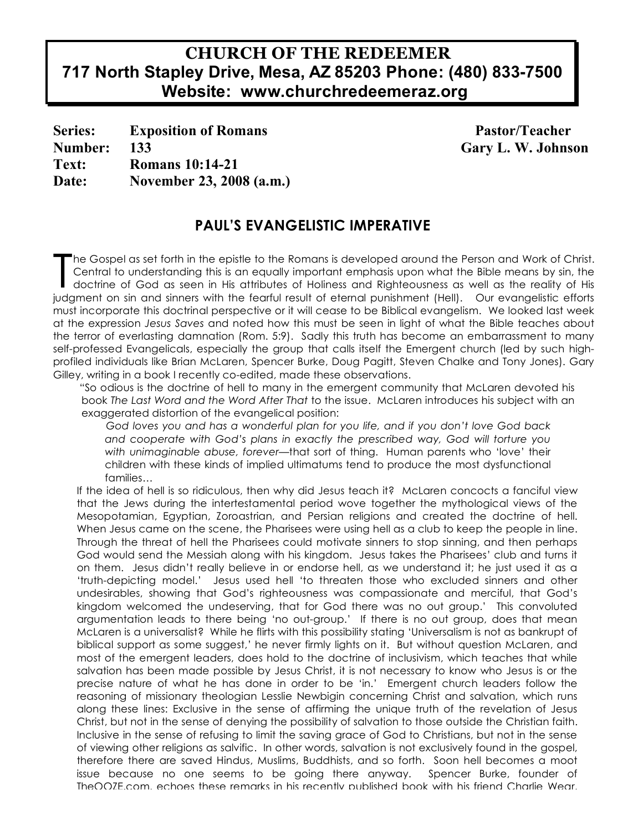## **CHURCH OF THE REDEEMER 717 North Stapley Drive, Mesa, AZ 85203 Phone: (480) 833-7500 Website: www.churchredeemeraz.org**

**Series: Exposition of Romans Pastor/Teacher Number: 133 Gary L. W. Johnson Text: Romans 10:14-21 Date: November 23, 2008 (a.m.)**

## **PAUL'S EVANGELISTIC IMPERATIVE**

he Gospel as set forth in the epistle to the Romans is developed around the Person and Work of Christ. Central to understanding this is an equally important emphasis upon what the Bible means by sin, the doctrine of God as seen in His attributes of Holiness and Righteousness as well as the reality of His judgment on sin and sinners with the fearful result of eternal punishment (Hell). Our evangelistic efforts must incorporate this doctrinal perspective or it will cease to be Biblical evangelism. We looked last week at the expression *Jesus Saves* and noted how this must be seen in light of what the Bible teaches about the terror of everlasting damnation (Rom. 5:9). Sadly this truth has become an embarrassment to many self-professed Evangelicals, especially the group that calls itself the Emergent church (led by such highprofiled individuals like Brian McLaren, Spencer Burke, Doug Pagitt, Steven Chalke and Tony Jones). Gary Gilley, writing in a book I recently co-edited, made these observations. T

"So odious is the doctrine of hell to many in the emergent community that McLaren devoted his book *The Last Word and the Word After That* to the issue. McLaren introduces his subject with an exaggerated distortion of the evangelical position:

*God loves you and has a wonderful plan for you life, and if you don't love God back and cooperate with God's plans in exactly the prescribed way, God will torture you with unimaginable abuse, forever—*that sort of thing. Human parents who 'love' their children with these kinds of implied ultimatums tend to produce the most dysfunctional families…

If the idea of hell is so ridiculous, then why did Jesus teach it? McLaren concocts a fanciful view that the Jews during the intertestamental period wove together the mythological views of the Mesopotamian, Egyptian, Zoroastrian, and Persian religions and created the doctrine of hell. When Jesus came on the scene, the Pharisees were using hell as a club to keep the people in line. Through the threat of hell the Pharisees could motivate sinners to stop sinning, and then perhaps God would send the Messiah along with his kingdom. Jesus takes the Pharisees' club and turns it on them. Jesus didn't really believe in or endorse hell, as we understand it; he just used it as a 'truth-depicting model.' Jesus used hell 'to threaten those who excluded sinners and other undesirables, showing that God's righteousness was compassionate and merciful, that God's kingdom welcomed the undeserving, that for God there was no out group.' This convoluted argumentation leads to there being 'no out-group.' If there is no out group, does that mean McLaren is a universalist? While he flirts with this possibility stating 'Universalism is not as bankrupt of biblical support as some suggest,' he never firmly lights on it. But without question McLaren, and most of the emergent leaders, does hold to the doctrine of inclusivism, which teaches that while salvation has been made possible by Jesus Christ, it is not necessary to know who Jesus is or the precise nature of what he has done in order to be 'in.' Emergent church leaders follow the reasoning of missionary theologian Lesslie Newbigin concerning Christ and salvation, which runs along these lines: Exclusive in the sense of affirming the unique truth of the revelation of Jesus Christ, but not in the sense of denying the possibility of salvation to those outside the Christian faith. Inclusive in the sense of refusing to limit the saving grace of God to Christians, but not in the sense of viewing other religions as salvific. In other words, salvation is not exclusively found in the gospel, therefore there are saved Hindus, Muslims, Buddhists, and so forth. Soon hell becomes a moot issue because no one seems to be going there anyway. Spencer Burke, founder of TheOOZE.com, echoes these remarks in his recently published book with his friend Charlie Wear,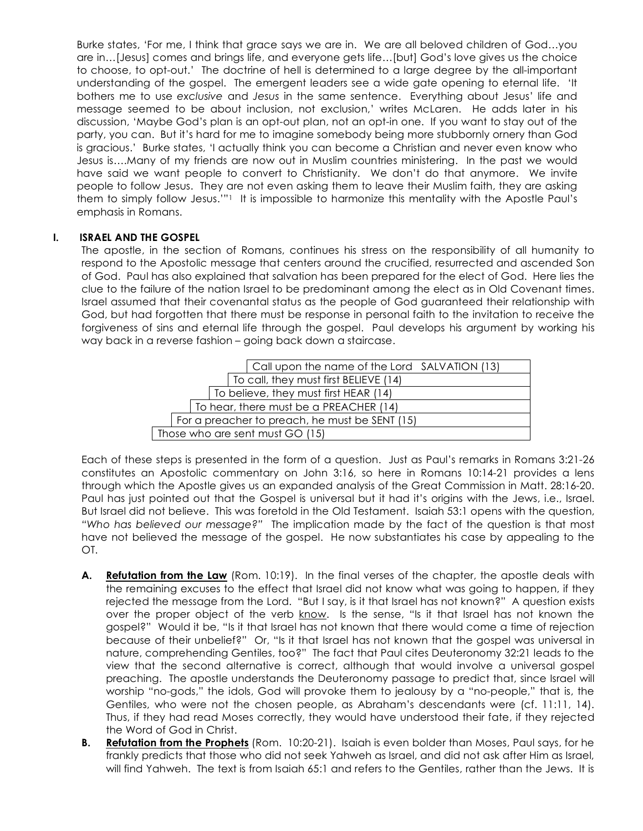Burke states, 'For me, I think that grace says we are in. We are all beloved children of God…you are in…[Jesus] comes and brings life, and everyone gets life…[but] God's love gives us the choice to choose, to opt-out.' The doctrine of hell is determined to a large degree by the all-important understanding of the gospel. The emergent leaders see a wide gate opening to eternal life. 'It bothers me to use *exclusive* and *Jesus* in the same sentence. Everything about Jesus' life and message seemed to be about inclusion, not exclusion,' writes McLaren. He adds later in his discussion, 'Maybe God's plan is an opt-out plan, not an opt-in one. If you want to stay out of the party, you can. But it's hard for me to imagine somebody being more stubbornly ornery than God is gracious.' Burke states, 'I actually think you can become a Christian and never even know who Jesus is….Many of my friends are now out in Muslim countries ministering. In the past we would have said we want people to convert to Christianity. We don't do that anymore. We invite people to follow Jesus. They are not even asking them to leave their Muslim faith, they are asking them to simply follow Jesus.'"1 It is impossible to harmonize this mentality with the Apostle Paul's emphasis in Romans.

## **I. ISRAEL AND THE GOSPEL**

The apostle, in the section of Romans, continues his stress on the responsibility of all humanity to respond to the Apostolic message that centers around the crucified, resurrected and ascended Son of God. Paul has also explained that salvation has been prepared for the elect of God. Here lies the clue to the failure of the nation Israel to be predominant among the elect as in Old Covenant times. Israel assumed that their covenantal status as the people of God guaranteed their relationship with God, but had forgotten that there must be response in personal faith to the invitation to receive the forgiveness of sins and eternal life through the gospel. Paul develops his argument by working his way back in a reverse fashion – going back down a staircase.

| Call upon the name of the Lord SALVATION (13)  |
|------------------------------------------------|
| To call, they must first BELIEVE (14)          |
| To believe, they must first HEAR (14)          |
| To hear, there must be a PREACHER (14)         |
| For a preacher to preach, he must be SENT (15) |
| Those who are sent must GO (15)                |

Each of these steps is presented in the form of a question. Just as Paul's remarks in Romans 3:21-26 constitutes an Apostolic commentary on John 3:16, so here in Romans 10:14-21 provides a lens through which the Apostle gives us an expanded analysis of the Great Commission in Matt. 28:16-20. Paul has just pointed out that the Gospel is universal but it had it's origins with the Jews, i.e., Israel. But Israel did not believe. This was foretold in the Old Testament. Isaiah 53:1 opens with the question, *"Who has believed our message?"* The implication made by the fact of the question is that most have not believed the message of the gospel. He now substantiates his case by appealing to the OT.

- **A. Refutation from the Law** (Rom. 10:19). In the final verses of the chapter, the apostle deals with the remaining excuses to the effect that Israel did not know what was going to happen, if they rejected the message from the Lord. "But I say, is it that Israel has not known?" A question exists over the proper object of the verb know. Is the sense, "Is it that Israel has not known the gospel?" Would it be, "Is it that Israel has not known that there would come a time of rejection because of their unbelief?" Or, "Is it that Israel has not known that the gospel was universal in nature, comprehending Gentiles, too?" The fact that Paul cites Deuteronomy 32:21 leads to the view that the second alternative is correct, although that would involve a universal gospel preaching. The apostle understands the Deuteronomy passage to predict that, since Israel will worship "no-gods," the idols, God will provoke them to jealousy by a "no-people," that is, the Gentiles, who were not the chosen people, as Abraham's descendants were (cf. 11:11, 14). Thus, if they had read Moses correctly, they would have understood their fate, if they rejected the Word of God in Christ.
- **B. Refutation from the Prophets** (Rom. 10:20-21). Isaiah is even bolder than Moses, Paul says, for he frankly predicts that those who did not seek Yahweh as Israel, and did not ask after Him as Israel, will find Yahweh. The text is from Isaiah 65:1 and refers to the Gentiles, rather than the Jews. It is